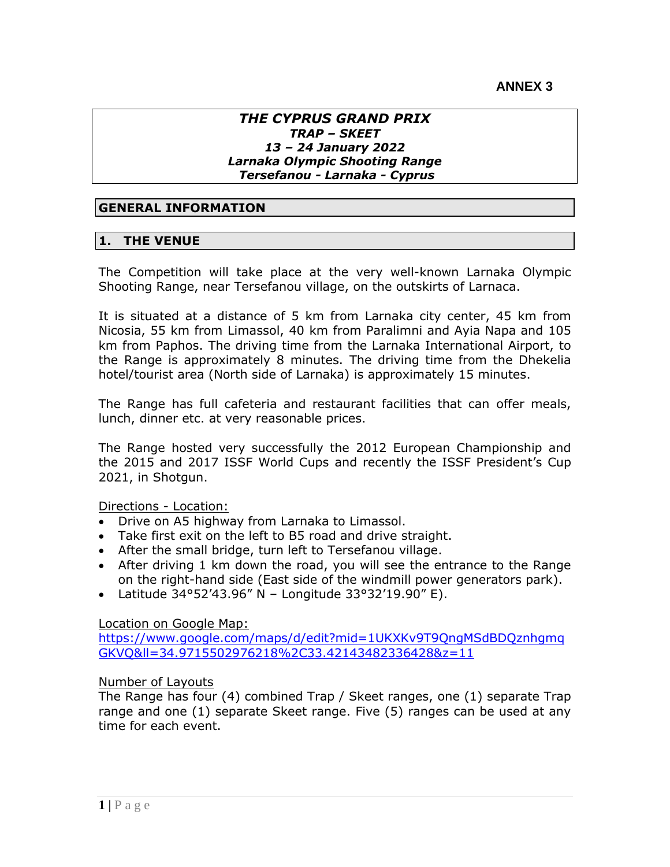#### *THE CYPRUS GRAND PRIX TRAP – SKEET 13 – 24 January 2022 Larnaka Olympic Shooting Range Tersefanou - Larnaka - Cyprus*

### **GENERAL INFORMATION**

#### **1. THE VENUE**

The Competition will take place at the very well-known Larnaka Olympic Shooting Range, near Tersefanou village, on the outskirts of Larnaca.

It is situated at a distance of 5 km from Larnaka city center, 45 km from Nicosia, 55 km from Limassol, 40 km from Paralimni and Ayia Napa and 105 km from Paphos. The driving time from the Larnaka International Airport, to the Range is approximately 8 minutes. The driving time from the Dhekelia hotel/tourist area (North side of Larnaka) is approximately 15 minutes.

The Range has full cafeteria and restaurant facilities that can offer meals, lunch, dinner etc. at very reasonable prices.

The Range hosted very successfully the 2012 European Championship and the 2015 and 2017 ISSF World Cups and recently the ISSF President's Cup 2021, in Shotgun.

#### Directions - Location:

- Drive on A5 highway from Larnaka to Limassol.
- Take first exit on the left to B5 road and drive straight.
- After the small bridge, turn left to Tersefanou village.
- After driving 1 km down the road, you will see the entrance to the Range on the right-hand side (East side of the windmill power generators park).
- Latitude 34°52'43.96" N Longitude 33°32'19.90" E).

#### Location on Google Map:

[https://www.google.com/maps/d/edit?mid=1UKXKv9T9QngMSdBDQznhgmq](https://www.google.com/maps/d/edit?mid=1UKXKv9T9QngMSdBDQznhgmqGKVQ&ll=34.9715502976218%2C33.42143482336428&z=11) [GKVQ&ll=34.9715502976218%2C33.42143482336428&z=11](https://www.google.com/maps/d/edit?mid=1UKXKv9T9QngMSdBDQznhgmqGKVQ&ll=34.9715502976218%2C33.42143482336428&z=11)

#### Number of Layouts

The Range has four (4) combined Trap / Skeet ranges, one (1) separate Trap range and one (1) separate Skeet range. Five (5) ranges can be used at any time for each event.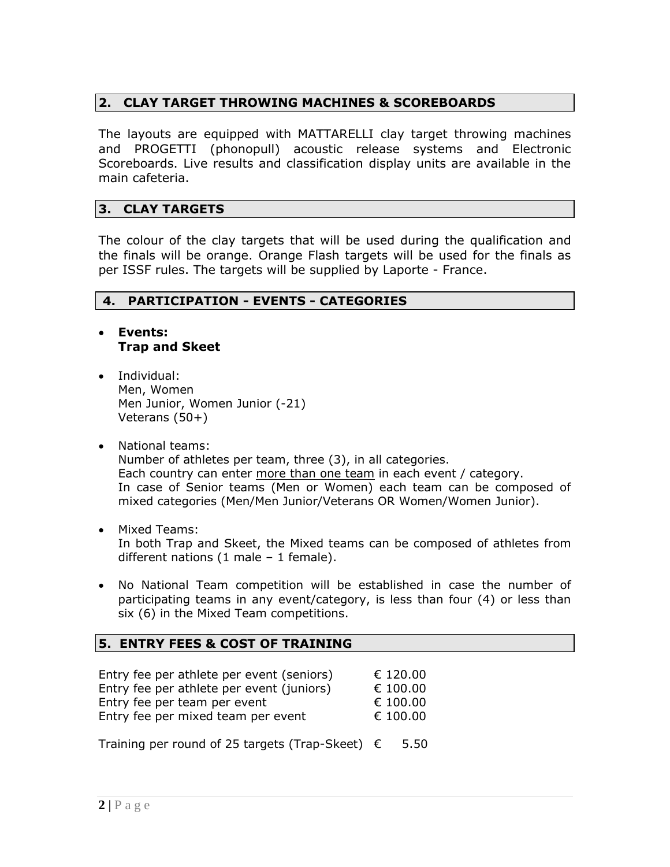## **2. CLAY TARGET THROWING MACHINES & SCOREBOARDS**

The layouts are equipped with MATTARELLI clay target throwing machines and PROGETTI (phonopull) acoustic release systems and Electronic Scoreboards. Live results and classification display units are available in the main cafeteria.

## **3. CLAY TARGETS**

The colour of the clay targets that will be used during the qualification and the finals will be orange. Orange Flash targets will be used for the finals as per ISSF rules. The targets will be supplied by Laporte - France.

## **4. PARTICIPATION - EVENTS - CATEGORIES**

- **Events: Trap and Skeet**
- Individual: Men, Women Men Junior, Women Junior (-21) Veterans (50+)
- National teams: Number of athletes per team, three (3), in all categories. Each country can enter more than one team in each event / category. In case of Senior teams (Men or Women) each team can be composed of mixed categories (Men/Men Junior/Veterans OR Women/Women Junior).
- Mixed Teams: In both Trap and Skeet, the Mixed teams can be composed of athletes from different nations (1 male – 1 female).
- No National Team competition will be established in case the number of participating teams in any event/category, is less than four (4) or less than six (6) in the Mixed Team competitions.

## **5. ENTRY FEES & COST OF TRAINING**

| Entry fee per athlete per event (seniors) | € 120.00 |
|-------------------------------------------|----------|
| Entry fee per athlete per event (juniors) | € 100.00 |
| Entry fee per team per event              | € 100.00 |
| Entry fee per mixed team per event        | € 100.00 |
|                                           |          |

Training per round of 25 targets (Trap-Skeet)  $\epsilon$  5.50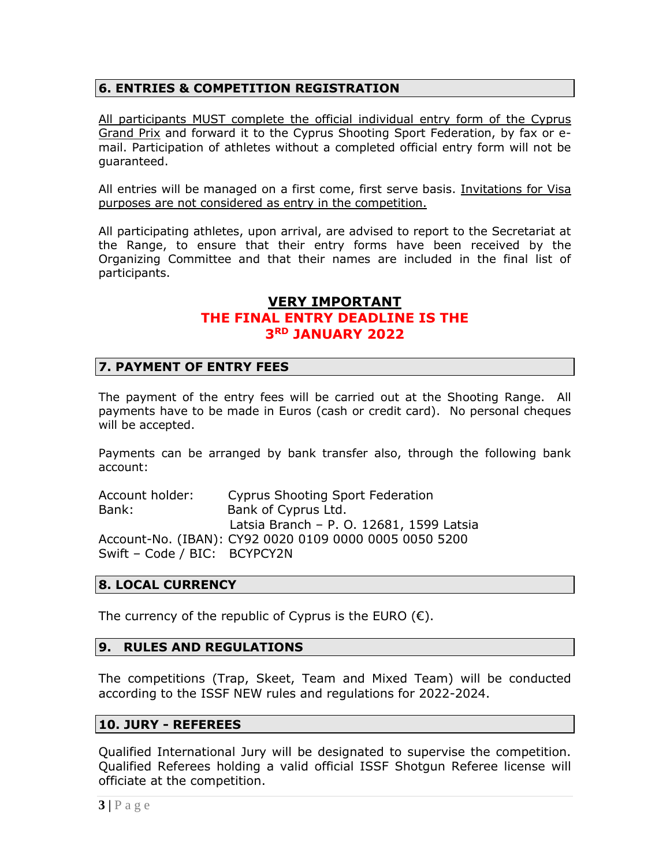## **6. ENTRIES & COMPETITION REGISTRATION**

All participants MUST complete the official individual entry form of the Cyprus Grand Prix and forward it to the Cyprus Shooting Sport Federation, by fax or email. Participation of athletes without a completed official entry form will not be guaranteed.

All entries will be managed on a first come, first serve basis. Invitations for Visa purposes are not considered as entry in the competition.

All participating athletes, upon arrival, are advised to report to the Secretariat at the Range, to ensure that their entry forms have been received by the Organizing Committee and that their names are included in the final list of participants.

## **VERY IMPORTANT THE FINAL ENTRY DEADLINE IS THE 3RD JANUARY 2022**

## **7. PAYMENT OF ENTRY FEES**

The payment of the entry fees will be carried out at the Shooting Range. All payments have to be made in Euros (cash or credit card). No personal cheques will be accepted.

Payments can be arranged by bank transfer also, through the following bank account:

Account holder: Cyprus Shooting Sport Federation Bank: Bank of Cyprus Ltd. Latsia Branch – P. O. 12681, 1599 Latsia Account-No. (IBAN): CY92 0020 0109 0000 0005 0050 5200 Swift – Code / BIC: BCYPCY2N

## **8. LOCAL CURRENCY**

The currency of the republic of Cyprus is the EURO  $(\epsilon)$ .

## **9. RULES AND REGULATIONS**

The competitions (Trap, Skeet, Team and Mixed Team) will be conducted according to the ISSF NEW rules and regulations for 2022-2024.

#### **10. JURY - REFEREES**

Qualified International Jury will be designated to supervise the competition. Qualified Referees holding a valid official ISSF Shotgun Referee license will officiate at the competition.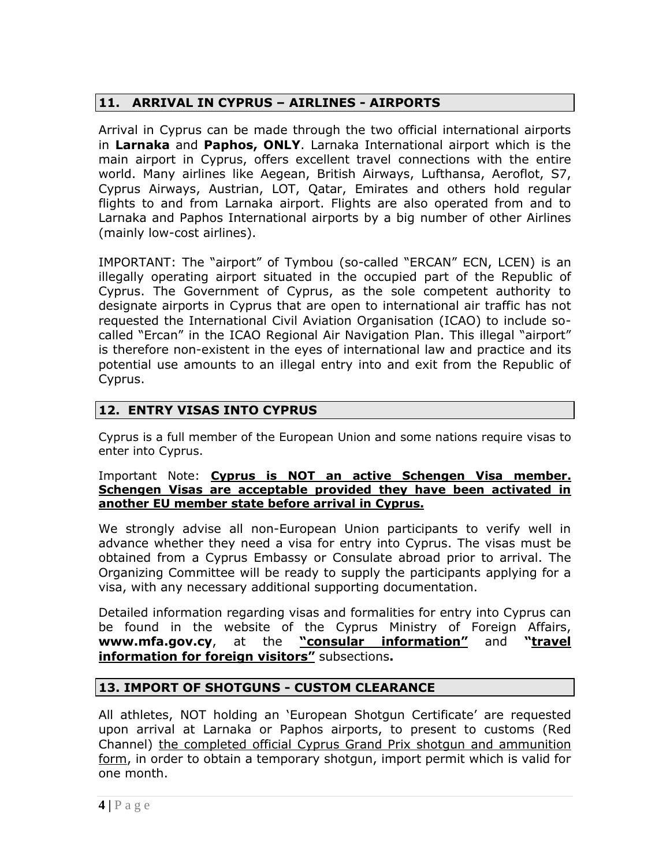# **11. ARRIVAL IN CYPRUS – AIRLINES - AIRPORTS**

Arrival in Cyprus can be made through the two official international airports in **Larnaka** and **Paphos, ONLY**. Larnaka International airport which is the main airport in Cyprus, offers excellent travel connections with the entire world. Many airlines like Aegean, British Airways, Lufthansa, Aeroflot, S7, Cyprus Airways, Austrian, LOT, Qatar, Emirates and others hold regular flights to and from Larnaka airport. Flights are also operated from and to Larnaka and Paphos International airports by a big number of other Airlines (mainly low-cost airlines).

IMPORTANT: The "airport" of Tymbou (so-called "ERCAN" ECN, LCEN) is an illegally operating airport situated in the occupied part of the Republic of Cyprus. The Government of Cyprus, as the sole competent authority to designate airports in Cyprus that are open to international air traffic has not requested the International Civil Aviation Organisation (ICAO) to include socalled "Ercan" in the ICAO Regional Air Navigation Plan. This illegal "airport" is therefore non-existent in the eyes of international law and practice and its potential use amounts to an illegal entry into and exit from the Republic of Cyprus.

# **12. ENTRY VISAS INTO CYPRUS**

Cyprus is a full member of the European Union and some nations require visas to enter into Cyprus.

#### Important Note: **Cyprus is NOT an active Schengen Visa member. Schengen Visas are acceptable provided they have been activated in another EU member state before arrival in Cyprus.**

We strongly advise all non-European Union participants to verify well in advance whether they need a visa for entry into Cyprus. The visas must be obtained from a Cyprus Embassy or Consulate abroad prior to arrival. The Organizing Committee will be ready to supply the participants applying for a visa, with any necessary additional supporting documentation.

Detailed information regarding visas and formalities for entry into Cyprus can be found in the website of the Cyprus Ministry of Foreign Affairs, **[www.mfa.gov.cy](http://www.mfa.gov.cy/)**, at the **"consular information"** and **"travel information for foreign visitors"** subsections**.** 

## **13. IMPORT OF SHOTGUNS - CUSTOM CLEARANCE**

All athletes, NOT holding an 'European Shotgun Certificate' are requested upon arrival at Larnaka or Paphos airports, to present to customs (Red Channel) the completed official Cyprus Grand Prix shotgun and ammunition form, in order to obtain a temporary shotgun, import permit which is valid for one month.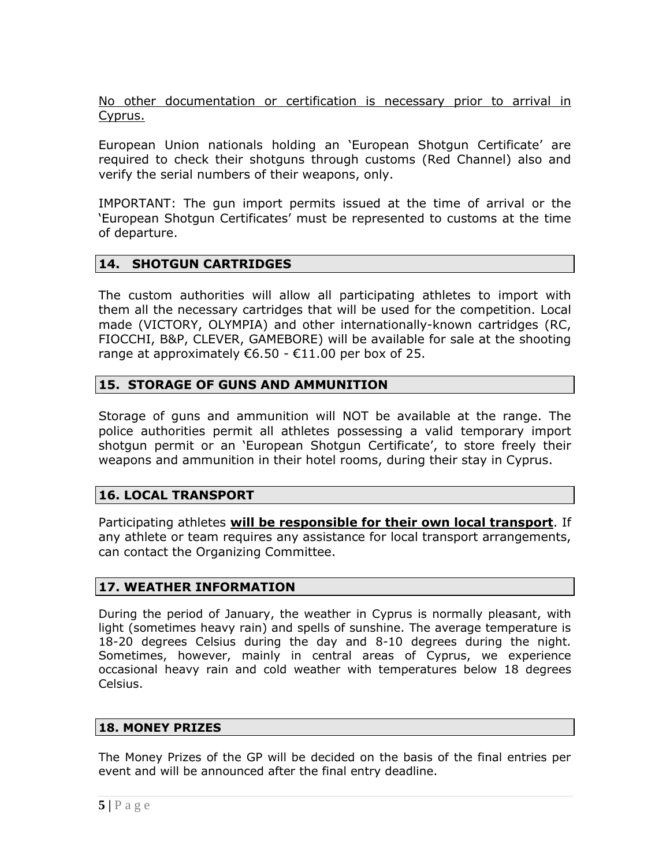No other documentation or certification is necessary prior to arrival in Cyprus.

European Union nationals holding an 'European Shotgun Certificate' are required to check their shotguns through customs (Red Channel) also and verify the serial numbers of their weapons, only.

IMPORTANT: The gun import permits issued at the time of arrival or the 'European Shotgun Certificates' must be represented to customs at the time of departure.

## **14. SHOTGUN CARTRIDGES**

The custom authorities will allow all participating athletes to import with them all the necessary cartridges that will be used for the competition. Local made (VICTORY, OLYMPIA) and other internationally-known cartridges (RC, FIOCCHI, B&P, CLEVER, GAMEBORE) will be available for sale at the shooting range at approximately  $\epsilon$ 6.50 -  $\epsilon$ 11.00 per box of 25.

## **15. STORAGE OF GUNS AND AMMUNITION**

Storage of guns and ammunition will NOT be available at the range. The police authorities permit all athletes possessing a valid temporary import shotgun permit or an 'European Shotgun Certificate', to store freely their weapons and ammunition in their hotel rooms, during their stay in Cyprus.

## **16. LOCAL TRANSPORT**

Participating athletes **will be responsible for their own local transport**. If any athlete or team requires any assistance for local transport arrangements, can contact the Organizing Committee.

## **17. WEATHER INFORMATION**

During the period of January, the weather in Cyprus is normally pleasant, with light (sometimes heavy rain) and spells of sunshine. The average temperature is 18-20 degrees Celsius during the day and 8-10 degrees during the night. Sometimes, however, mainly in central areas of Cyprus, we experience occasional heavy rain and cold weather with temperatures below 18 degrees Celsius.

#### **18. MONEY PRIZES**

The Money Prizes of the GP will be decided on the basis of the final entries per event and will be announced after the final entry deadline.